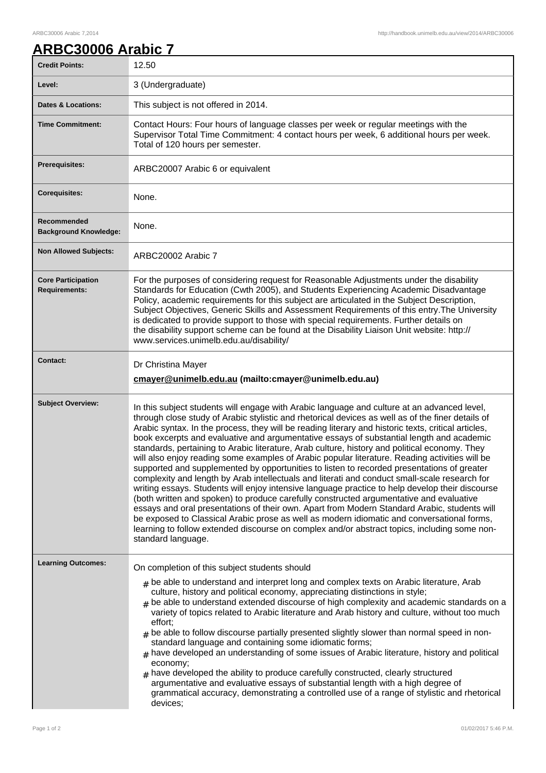## **ARBC30006 Arabic 7**

| <b>Credit Points:</b>                             | 12.50                                                                                                                                                                                                                                                                                                                                                                                                                                                                                                                                                                                                                                                                                                                                                                                                                                                                                                                                                                                                                                                                                                                                                                                                                                                                                                                   |
|---------------------------------------------------|-------------------------------------------------------------------------------------------------------------------------------------------------------------------------------------------------------------------------------------------------------------------------------------------------------------------------------------------------------------------------------------------------------------------------------------------------------------------------------------------------------------------------------------------------------------------------------------------------------------------------------------------------------------------------------------------------------------------------------------------------------------------------------------------------------------------------------------------------------------------------------------------------------------------------------------------------------------------------------------------------------------------------------------------------------------------------------------------------------------------------------------------------------------------------------------------------------------------------------------------------------------------------------------------------------------------------|
| Level:                                            | 3 (Undergraduate)                                                                                                                                                                                                                                                                                                                                                                                                                                                                                                                                                                                                                                                                                                                                                                                                                                                                                                                                                                                                                                                                                                                                                                                                                                                                                                       |
| <b>Dates &amp; Locations:</b>                     | This subject is not offered in 2014.                                                                                                                                                                                                                                                                                                                                                                                                                                                                                                                                                                                                                                                                                                                                                                                                                                                                                                                                                                                                                                                                                                                                                                                                                                                                                    |
| <b>Time Commitment:</b>                           | Contact Hours: Four hours of language classes per week or regular meetings with the<br>Supervisor Total Time Commitment: 4 contact hours per week, 6 additional hours per week.<br>Total of 120 hours per semester.                                                                                                                                                                                                                                                                                                                                                                                                                                                                                                                                                                                                                                                                                                                                                                                                                                                                                                                                                                                                                                                                                                     |
| Prerequisites:                                    | ARBC20007 Arabic 6 or equivalent                                                                                                                                                                                                                                                                                                                                                                                                                                                                                                                                                                                                                                                                                                                                                                                                                                                                                                                                                                                                                                                                                                                                                                                                                                                                                        |
| <b>Corequisites:</b>                              | None.                                                                                                                                                                                                                                                                                                                                                                                                                                                                                                                                                                                                                                                                                                                                                                                                                                                                                                                                                                                                                                                                                                                                                                                                                                                                                                                   |
| Recommended<br><b>Background Knowledge:</b>       | None.                                                                                                                                                                                                                                                                                                                                                                                                                                                                                                                                                                                                                                                                                                                                                                                                                                                                                                                                                                                                                                                                                                                                                                                                                                                                                                                   |
| <b>Non Allowed Subjects:</b>                      | ARBC20002 Arabic 7                                                                                                                                                                                                                                                                                                                                                                                                                                                                                                                                                                                                                                                                                                                                                                                                                                                                                                                                                                                                                                                                                                                                                                                                                                                                                                      |
| <b>Core Participation</b><br><b>Requirements:</b> | For the purposes of considering request for Reasonable Adjustments under the disability<br>Standards for Education (Cwth 2005), and Students Experiencing Academic Disadvantage<br>Policy, academic requirements for this subject are articulated in the Subject Description,<br>Subject Objectives, Generic Skills and Assessment Requirements of this entry. The University<br>is dedicated to provide support to those with special requirements. Further details on<br>the disability support scheme can be found at the Disability Liaison Unit website: http://<br>www.services.unimelb.edu.au/disability/                                                                                                                                                                                                                                                                                                                                                                                                                                                                                                                                                                                                                                                                                                        |
| <b>Contact:</b>                                   | Dr Christina Mayer<br>cmayer@unimelb.edu.au (mailto:cmayer@unimelb.edu.au)                                                                                                                                                                                                                                                                                                                                                                                                                                                                                                                                                                                                                                                                                                                                                                                                                                                                                                                                                                                                                                                                                                                                                                                                                                              |
| <b>Subject Overview:</b>                          | In this subject students will engage with Arabic language and culture at an advanced level,<br>through close study of Arabic stylistic and rhetorical devices as well as of the finer details of<br>Arabic syntax. In the process, they will be reading literary and historic texts, critical articles,<br>book excerpts and evaluative and argumentative essays of substantial length and academic<br>standards, pertaining to Arabic literature, Arab culture, history and political economy. They<br>will also enjoy reading some examples of Arabic popular literature. Reading activities will be<br>supported and supplemented by opportunities to listen to recorded presentations of greater<br>complexity and length by Arab intellectuals and literati and conduct small-scale research for<br>writing essays. Students will enjoy intensive language practice to help develop their discourse<br>(both written and spoken) to produce carefully constructed argumentative and evaluative<br>essays and oral presentations of their own. Apart from Modern Standard Arabic, students will<br>be exposed to Classical Arabic prose as well as modern idiomatic and conversational forms,<br>learning to follow extended discourse on complex and/or abstract topics, including some non-<br>standard language. |
| <b>Learning Outcomes:</b>                         | On completion of this subject students should<br>$#$ be able to understand and interpret long and complex texts on Arabic literature, Arab<br>culture, history and political economy, appreciating distinctions in style;<br>$#$ be able to understand extended discourse of high complexity and academic standards on a<br>variety of topics related to Arabic literature and Arab history and culture, without too much<br>effort;<br>$#$ be able to follow discourse partially presented slightly slower than normal speed in non-<br>standard language and containing some idiomatic forms;<br>$_{\text{\#}}$ have developed an understanding of some issues of Arabic literature, history and political<br>economy;<br>$#$ have developed the ability to produce carefully constructed, clearly structured<br>argumentative and evaluative essays of substantial length with a high degree of<br>grammatical accuracy, demonstrating a controlled use of a range of stylistic and rhetorical<br>devices;                                                                                                                                                                                                                                                                                                           |